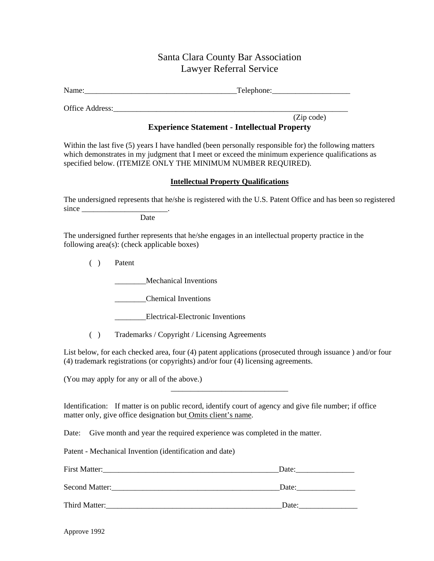## Santa Clara County Bar Association Lawyer Referral Service

Name: Telephone:

Office Address:

(Zip code)

## **Experience Statement - Intellectual Property**

Within the last five (5) years I have handled (been personally responsible for) the following matters which demonstrates in my judgment that I meet or exceed the minimum experience qualifications as specified below. (ITEMIZE ONLY THE MINIMUM NUMBER REQUIRED).

## **Intellectual Property Qualifications**

The undersigned represents that he/she is registered with the U.S. Patent Office and has been so registered since

**Date** 

The undersigned further represents that he/she engages in an intellectual property practice in the following area(s): (check applicable boxes)

( ) Patent

\_\_\_\_\_\_\_\_Mechanical Inventions

\_\_\_\_\_\_\_\_Chemical Inventions

Electrical-Electronic Inventions

( ) Trademarks / Copyright / Licensing Agreements

List below, for each checked area, four (4) patent applications (prosecuted through issuance ) and/or four (4) trademark registrations (or copyrights) and/or four (4) licensing agreements.

\_\_\_\_\_\_\_\_\_\_\_\_\_\_\_\_\_\_\_\_\_\_\_\_\_\_\_\_\_\_

(You may apply for any or all of the above.)

Identification: If matter is on public record, identify court of agency and give file number; if office matter only, give office designation but Omits client's name.

Date: Give month and year the required experience was completed in the matter.

Patent - Mechanical Invention (identification and date)

First Matter: The contraction of the contraction of the contraction of the contraction of the contraction of the contraction of the contraction of the contraction of the contraction of the contraction of the contraction of

Second Matter:  $\Box$ 

Third Matter: Third Matter: